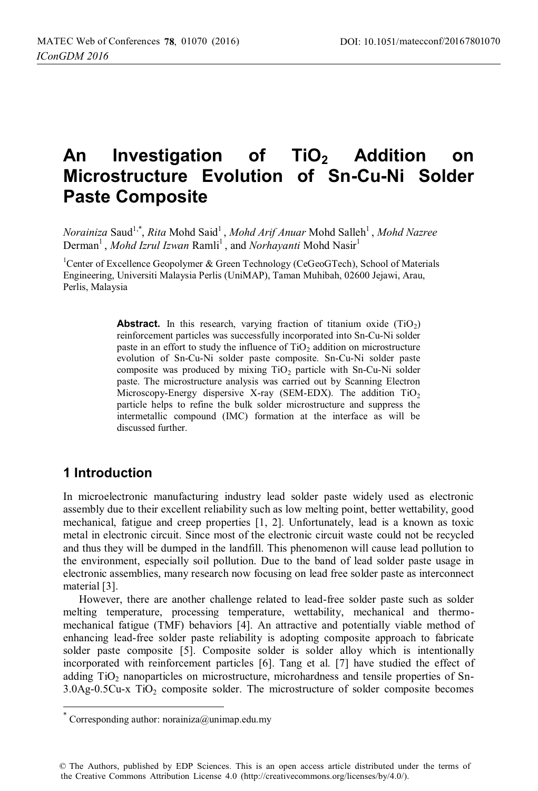# An Investigation of TiO<sub>2</sub> Addition on **Microstructure Evolution of Sn-Cu-Ni Solder Paste Composite**

*Norainiza* Saud<sup>1,\*</sup>, *Rita* Mohd Said<sup>1</sup>, *Mohd Arif Anuar* Mohd Salleh<sup>1</sup>, *Mohd Nazree* Derman<sup>1</sup>, *Mohd Izrul Izwan* Ramli<sup>1</sup>, and *Norhayanti* Mohd Nasir<sup>1</sup>

<sup>1</sup>Center of Excellence Geopolymer & Green Technology (CeGeoGTech), School of Materials Engineering, Universiti Malaysia Perlis (UniMAP), Taman Muhibah, 02600 Jejawi, Arau, Perlis, Malaysia

> **Abstract.** In this research, varying fraction of titanium oxide  $(TiO<sub>2</sub>)$ reinforcement particles was successfully incorporated into Sn-Cu-Ni solder paste in an effort to study the influence of  $TiO<sub>2</sub>$  addition on microstructure evolution of Sn-Cu-Ni solder paste composite. Sn-Cu-Ni solder paste composite was produced by mixing  $TiO<sub>2</sub>$  particle with Sn-Cu-Ni solder paste. The microstructure analysis was carried out by Scanning Electron Microscopy-Energy dispersive X-ray (SEM-EDX). The addition  $TiO<sub>2</sub>$ particle helps to refine the bulk solder microstructure and suppress the intermetallic compound (IMC) formation at the interface as will be discussed further.

### **1 Introduction**

 $\overline{\phantom{a}}$ 

In microelectronic manufacturing industry lead solder paste widely used as electronic assembly due to their excellent reliability such as low melting point, better wettability, good mechanical, fatigue and creep properties [1, 2]. Unfortunately, lead is a known as toxic metal in electronic circuit. Since most of the electronic circuit waste could not be recycled and thus they will be dumped in the landfill. This phenomenon will cause lead pollution to the environment, especially soil pollution. Due to the band of lead solder paste usage in electronic assemblies, many research now focusing on lead free solder paste as interconnect material [3].

However, there are another challenge related to lead-free solder paste such as solder melting temperature, processing temperature, wettability, mechanical and thermomechanical fatigue (TMF) behaviors [4]. An attractive and potentially viable method of enhancing lead-free solder paste reliability is adopting composite approach to fabricate solder paste composite [5]. Composite solder is solder alloy which is intentionally incorporated with reinforcement particles [6]. Tang et al. [7] have studied the effect of adding  $TiO<sub>2</sub>$  nanoparticles on microstructure, microhardness and tensile properties of Sn- $3.0$ Ag-0.5Cu-x TiO<sub>2</sub> composite solder. The microstructure of solder composite becomes

Corresponding author: norainiza@unimap.edu.my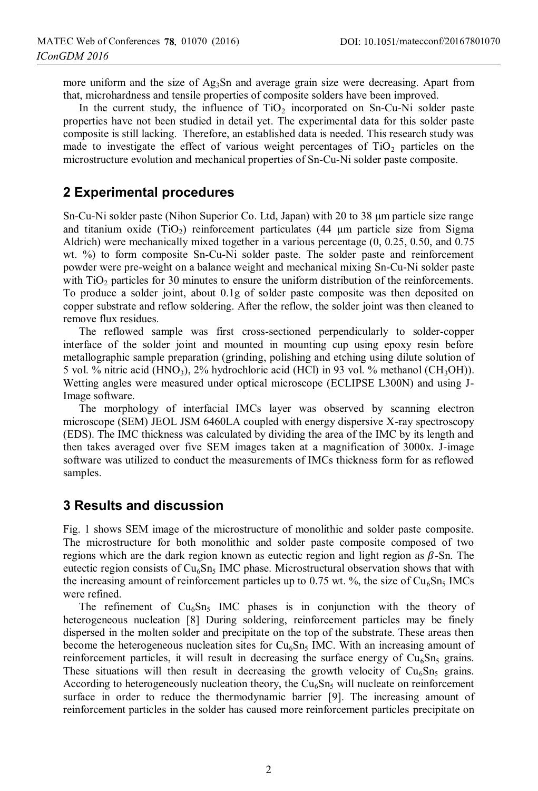more uniform and the size of  $Ag_3Sn$  and average grain size were decreasing. Apart from that, microhardness and tensile properties of composite solders have been improved.

In the current study, the influence of  $TiO<sub>2</sub>$  incorporated on Sn-Cu-Ni solder paste properties have not been studied in detail yet. The experimental data for this solder paste composite is still lacking. Therefore, an established data is needed. This research study was made to investigate the effect of various weight percentages of  $TiO<sub>2</sub>$  particles on the microstructure evolution and mechanical properties of Sn-Cu-Ni solder paste composite.

#### **2 Experimental procedures**

Sn-Cu-Ni solder paste (Nihon Superior Co. Ltd, Japan) with 20 to 38 μm particle size range and titanium oxide (TiO<sub>2</sub>) reinforcement particulates (44  $\mu$ m particle size from Sigma Aldrich) were mechanically mixed together in a various percentage (0, 0.25, 0.50, and 0.75 wt. %) to form composite Sn-Cu-Ni solder paste. The solder paste and reinforcement powder were pre-weight on a balance weight and mechanical mixing Sn-Cu-Ni solder paste with TiO<sub>2</sub> particles for 30 minutes to ensure the uniform distribution of the reinforcements. To produce a solder joint, about 0.1g of solder paste composite was then deposited on copper substrate and reflow soldering. After the reflow, the solder joint was then cleaned to remove flux residues.

The reflowed sample was first cross-sectioned perpendicularly to solder-copper interface of the solder joint and mounted in mounting cup using epoxy resin before metallographic sample preparation (grinding, polishing and etching using dilute solution of 5 vol. % nitric acid (HNO<sub>3</sub>), 2% hydrochloric acid (HCl) in 93 vol. % methanol (CH<sub>3</sub>OH)). Wetting angles were measured under optical microscope (ECLIPSE L300N) and using J-Image software.

The morphology of interfacial IMCs layer was observed by scanning electron microscope (SEM) JEOL JSM 6460LA coupled with energy dispersive X-ray spectroscopy (EDS). The IMC thickness was calculated by dividing the area of the IMC by its length and then takes averaged over five SEM images taken at a magnification of 3000x. J-image software was utilized to conduct the measurements of IMCs thickness form for as reflowed samples.

#### **3 Results and discussion**

Fig. 1 shows SEM image of the microstructure of monolithic and solder paste composite. The microstructure for both monolithic and solder paste composite composed of two regions which are the dark region known as eutectic region and light region as  $\beta$ -Sn. The eutectic region consists of  $Cu<sub>6</sub>Sn<sub>5</sub>$  IMC phase. Microstructural observation shows that with the increasing amount of reinforcement particles up to 0.75 wt. %, the size of  $Cu<sub>6</sub>Sn<sub>5</sub>$  IMCs were refined.

The refinement of  $Cu<sub>6</sub>Sn<sub>5</sub>$  IMC phases is in conjunction with the theory of heterogeneous nucleation [8] During soldering, reinforcement particles may be finely dispersed in the molten solder and precipitate on the top of the substrate. These areas then become the heterogeneous nucleation sites for  $Cu<sub>6</sub>Sn<sub>5</sub>$  IMC. With an increasing amount of reinforcement particles, it will result in decreasing the surface energy of  $Cu<sub>6</sub>Sn<sub>5</sub>$  grains. These situations will then result in decreasing the growth velocity of  $Cu<sub>6</sub>Sn<sub>5</sub>$  grains. According to heterogeneously nucleation theory, the  $Cu<sub>6</sub>Sn<sub>5</sub>$  will nucleate on reinforcement surface in order to reduce the thermodynamic barrier [9]. The increasing amount of reinforcement particles in the solder has caused more reinforcement particles precipitate on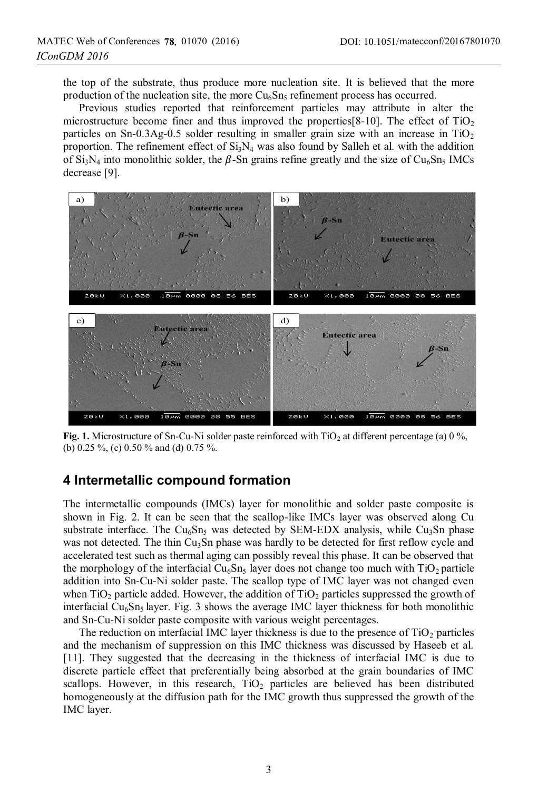the top of the substrate, thus produce more nucleation site. It is believed that the more production of the nucleation site, the more  $Cu<sub>6</sub>Sn<sub>5</sub>$  refinement process has occurred.

Previous studies reported that reinforcement particles may attribute in alter the microstructure become finer and thus improved the properties  $[8-10]$ . The effect of TiO<sub>2</sub> particles on Sn-0.3Ag-0.5 solder resulting in smaller grain size with an increase in  $TiO<sub>2</sub>$ proportion. The refinement effect of  $Si<sub>3</sub>N<sub>4</sub>$  was also found by Salleh et al. with the addition of  $Si<sub>3</sub>N<sub>4</sub>$  into monolithic solder, the  $\beta$ -Sn grains refine greatly and the size of Cu<sub>6</sub>Sn<sub>5</sub> IMCs decrease [9].



**Fig. 1.** Microstructure of Sn-Cu-Ni solder paste reinforced with  $TiO<sub>2</sub>$  at different percentage (a) 0 %, (b) 0.25 %, (c) 0.50 % and (d) 0.75 %.

#### **4 Intermetallic compound formation**

The intermetallic compounds (IMCs) layer for monolithic and solder paste composite is shown in Fig. 2. It can be seen that the scallop-like IMCs layer was observed along Cu substrate interface. The  $Cu<sub>6</sub>Sn<sub>5</sub>$  was detected by SEM-EDX analysis, while  $Cu<sub>3</sub>Sn$  phase was not detected. The thin  $Cu<sub>3</sub>Sn$  phase was hardly to be detected for first reflow cycle and accelerated test such as thermal aging can possibly reveal this phase. It can be observed that the morphology of the interfacial  $Cu<sub>6</sub>Sn<sub>5</sub>$  layer does not change too much with TiO<sub>2</sub> particle addition into Sn-Cu-Ni solder paste. The scallop type of IMC layer was not changed even when TiO<sub>2</sub> particle added. However, the addition of TiO<sub>2</sub> particles suppressed the growth of interfacial  $Cu<sub>6</sub>Sn<sub>5</sub>$  layer. Fig. 3 shows the average IMC layer thickness for both monolithic and Sn-Cu-Ni solder paste composite with various weight percentages.

The reduction on interfacial IMC layer thickness is due to the presence of  $TiO<sub>2</sub>$  particles and the mechanism of suppression on this IMC thickness was discussed by Haseeb et al. [11]. They suggested that the decreasing in the thickness of interfacial IMC is due to discrete particle effect that preferentially being absorbed at the grain boundaries of IMC scallops. However, in this research,  $TiO<sub>2</sub>$  particles are believed has been distributed homogeneously at the diffusion path for the IMC growth thus suppressed the growth of the IMC layer.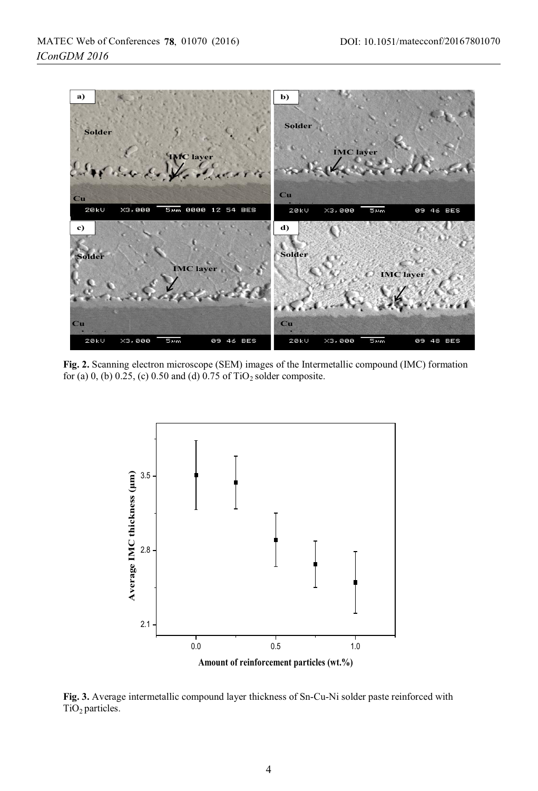

**Fig. 2.** Scanning electron microscope (SEM) images of the Intermetallic compound (IMC) formation for (a) 0, (b) 0.25, (c) 0.50 and (d)  $0.75$  of TiO<sub>2</sub> solder composite.



**Fig. 3.** Average intermetallic compound layer thickness of Sn-Cu-Ni solder paste reinforced with  $TiO<sub>2</sub>$  particles.